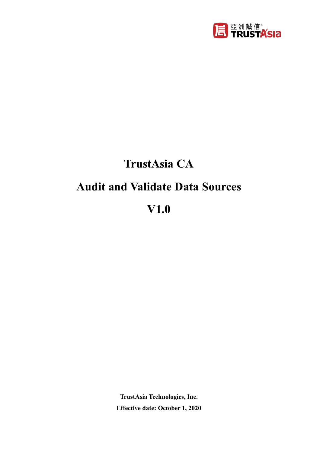

# **TrustAsia CA**

## **Audit and Validate Data Sources**

**V1.0**

**TrustAsia Technologies, Inc. Effective date: October 1, 2020**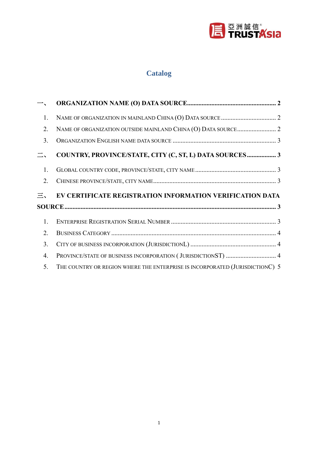

## **Catalog**

| $\overline{\phantom{a}}$ |                                                                   |  |
|--------------------------|-------------------------------------------------------------------|--|
| 1.                       |                                                                   |  |
| 2.                       |                                                                   |  |
| 3.                       |                                                                   |  |
| $\equiv$ .               | COUNTRY, PROVINCE/STATE, CITY (C, ST, L) DATA SOURCES 3           |  |
| 1.                       |                                                                   |  |
| 2.                       |                                                                   |  |
|                          |                                                                   |  |
|                          | $\Xi$ , EV CERTIFICATE REGISTRATION INFORMATION VERIFICATION DATA |  |
|                          |                                                                   |  |
| 1.                       |                                                                   |  |
| 2.                       |                                                                   |  |
| 3.                       |                                                                   |  |
| 4.                       | PROVINCE/STATE OF BUSINESS INCORPORATION (JURISDICTIONST)  4      |  |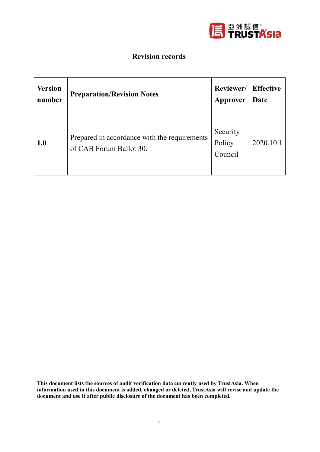

#### **Revision records**

| <b>Version</b> | <b>Preparation/Revision Notes</b>                                       | Reviewer/                     | <b>Effective</b> |
|----------------|-------------------------------------------------------------------------|-------------------------------|------------------|
| number         |                                                                         | Approver                      | Date             |
| 1.0            | Prepared in accordance with the requirements<br>of CAB Forum Ballot 30. | Security<br>Policy<br>Council | 2020.10.1        |

**This document lists the sources of audit verification data currently used by TrustAsia. When information used in this document is added, changed or deleted, TrustAsia will revise and update the document and use it after public disclosure of the document has been completed.**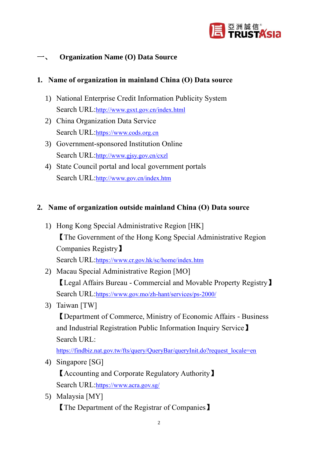

#### <span id="page-3-0"></span>**Organization Name (O) Data Source**

#### <span id="page-3-1"></span>**1. Name of organization in mainland China (O) Data source**

- 1) National Enterprise Credit Information Publicity System Search URL:<http://www.gsxt.gov.cn/index.html>
- 2) China Organization Data Service Search URL:[https://www.cods.org.cn](https://www.cods.org.cn/)
- 3) Government-sponsored Institution Online Search URL:<http://www.gjsy.gov.cn/cxzl>
- 4) State Council portal and local government portals Search URL:<http://www.gov.cn/index.htm>

#### <span id="page-3-2"></span>**2. Name of organization outside mainland China (O) Data source**

- 1) Hong Kong Special Administrative Region [HK] 【The Government of the Hong Kong Special Administrative Region Companies Registry】 Search URL:<https://www.cr.gov.hk/sc/home/index.htm>
- 2) Macau Special Administrative Region [MO] 【Legal Affairs Bureau - Commercial and Movable Property Registry】 Search URL:<https://www.gov.mo/zh-hant/services/ps-2000/>
- 3) Taiwan [TW]

【Department of Commerce, Ministry of Economic Affairs - Business and Industrial Registration Public Information Inquiry Service】 Search URL:

[https://findbiz.nat.gov.tw/fts/query/QueryBar/queryInit.do?request\\_locale=en](https://findbiz.nat.gov.tw/fts/query/QueryBar/queryInit.do?request_locale=en)

4) Singapore [SG]

【Accounting and Corporate Regulatory Authority】 Search URL:<https://www.acra.gov.sg/>

5) Malaysia [MY] 【The Department of the Registrar of Companies】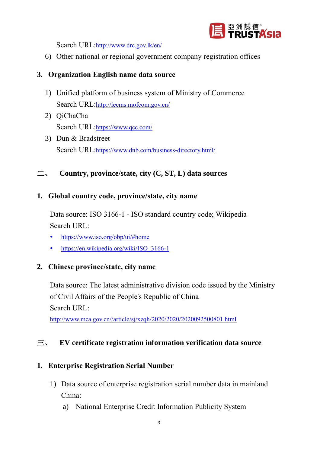

Search URL:<http://www.drc.gov.lk/en/>

6) Other national or regional government company registration offices

#### <span id="page-4-0"></span>**3. Organization English name data source**

- 1) Unified platform of business system of Ministry of Commerce Search URL:<http://iecms.mofcom.gov.cn/>
- 2) QiChaCha Search URL:<https://www.qcc.com/>
- 3) Dun & Bradstreet Search URL:<https://www.dnb.com/business-directory.html/>

<span id="page-4-1"></span>二、 **Country, province/state, city (C, ST, L) data sources**

#### <span id="page-4-2"></span>**1. Global country code, province/state, city name**

Data source: ISO 3166-1 - ISO standard country code; Wikipedia Search URL:

- <https://www.iso.org/obp/ui/#home>
- [https://en.wikipedia.org/wiki/ISO\\_3166-1](https://en.wikipedia.org/wiki/ISO_3166-1)

#### <span id="page-4-3"></span>**2. Chinese province/state, city name**

Data source: The latest administrative division code issued by the Ministry of Civil Affairs of the People's Republic of China Search URL:

[http://www.mca.gov.cn//article/sj/xzqh/2020/2020/2020092500801.html](http://www.mca.gov.cn/article/sj/xzqh/2020/2020/2020092500801.html)

#### <span id="page-4-4"></span>三、 **EV certificate registration information verification data source**

#### <span id="page-4-5"></span>**1. Enterprise Registration Serial Number**

- 1) Data source of enterprise registration serial number data in mainland China:
	- a) National Enterprise Credit Information Publicity System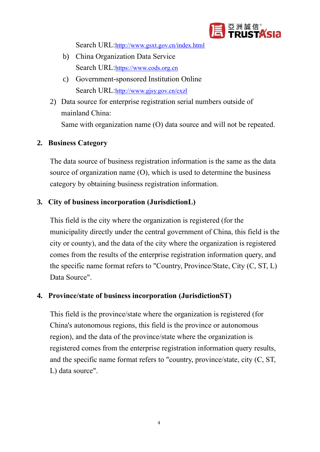

Search URL:<http://www.gsxt.gov.cn/index.html>

- b) China Organization Data Service Search URL:[https://www.cods.org.cn](https://www.cods.org.cn/)
- c) Government-sponsored Institution Online Search URL:<http://www.gjsy.gov.cn/cxzl>
- 2) Data source for enterprise registration serial numbers outside of mainland China: Same with organization name (O) data source and will not be repeated.

#### <span id="page-5-0"></span>**2. Business Category**

The data source of business registration information is the same as the data source of organization name (O), which is used to determine the business category by obtaining business registration information.

#### <span id="page-5-1"></span>**3. City of business incorporation (JurisdictionL)**

This field is the city where the organization is registered (for the municipality directly under the central government of China, this field is the city or county), and the data of the city where the organization is registered comes from the results of the enterprise registration information query, and the specific name format refers to "Country, Province/State, City (C, ST, L) Data Source".

#### <span id="page-5-2"></span>**4. Province/state of business incorporation (JurisdictionST)**

This field is the province/state where the organization is registered (for China's autonomous regions, this field is the province or autonomous region), and the data of the province/state where the organization is registered comes from the enterprise registration information query results, and the specific name format refers to "country, province/state, city (C, ST, L) data source".